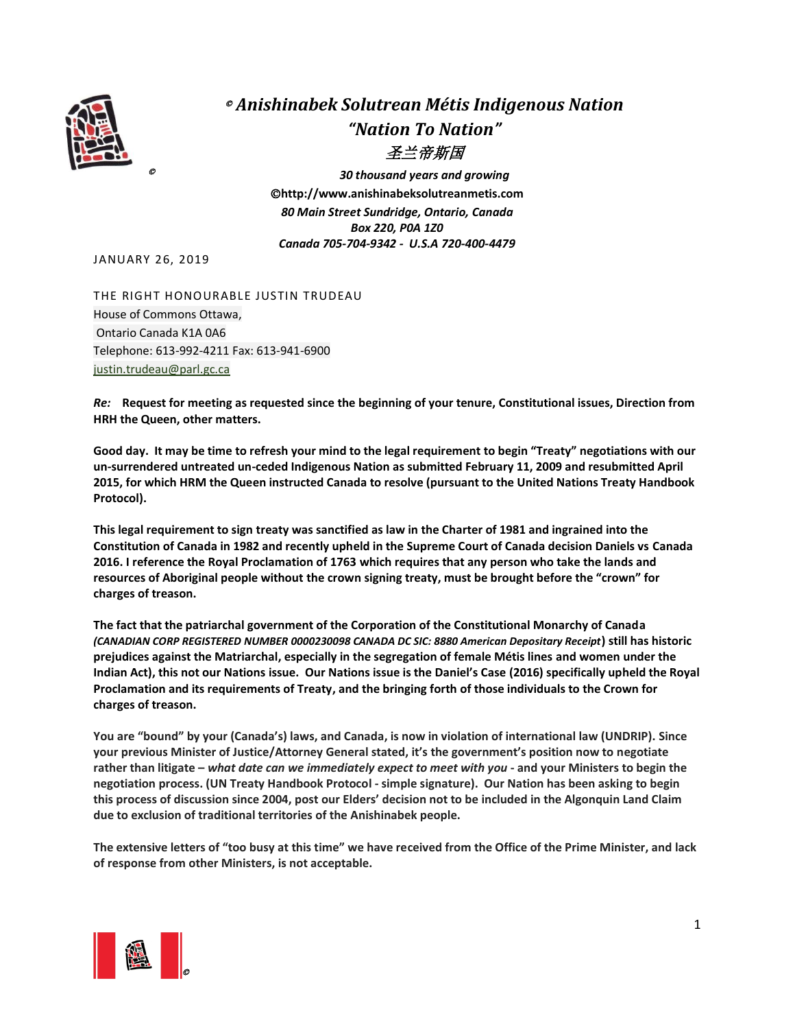

## © *Anishinabek Solutrean Métis Indigenous Nation "Nation To Nation"* 圣兰帝斯国

© *30 thousand years and growing* ©**http://www.anishinabeksolutreanmetis.com** *80 Main Street Sundridge, Ontario, Canada Box 220, P0A 1Z0 Canada 705-704-9342 - U.S.A 720-400-4479*

JANUARY 26, 2019

THE RIGHT HONOURABLE JUSTIN TRUDEAU House of Commons Ottawa, Ontario Canada K1A 0A6 Telephone: 613-992-4211 Fax: 613-941-6900 [justin.trudeau@parl.gc.ca](mailto:justin.trudeau@parl.gc.ca)

*Re:* **Request for meeting as requested since the beginning of your tenure, Constitutional issues, Direction from HRH the Queen, other matters.** 

**Good day. It may be time to refresh your mind to the legal requirement to begin "Treaty" negotiations with our un-surrendered untreated un-ceded Indigenous Nation as submitted February 11, 2009 and resubmitted April 2015, for which HRM the Queen instructed Canada to resolve (pursuant to the United Nations Treaty Handbook Protocol).**

**This legal requirement to sign treaty was sanctified as law in the Charter of 1981 and ingrained into the Constitution of Canada in 1982 and recently upheld in the Supreme Court of Canada decision Daniels vs Canada 2016. I reference the Royal Proclamation of 1763 which requires that any person who take the lands and resources of Aboriginal people without the crown signing treaty, must be brought before the "crown" for charges of treason.** 

**The fact that the patriarchal government of the Corporation of the Constitutional Monarchy of Canada**  *(CANADIAN CORP REGISTERED NUMBER 0000230098 CANADA DC SIC: 8880 American Depositary Receipt***) still has historic prejudices against the Matriarchal, especially in the segregation of female Métis lines and women under the Indian Act), this not our Nations issue. Our Nations issue is the Daniel's Case (2016) specifically upheld the Royal Proclamation and its requirements of Treaty, and the bringing forth of those individuals to the Crown for charges of treason.** 

**You are "bound" by your (Canada's) laws, and Canada, is now in violation of international law (UNDRIP). Since your previous Minister of Justice/Attorney General stated, it's the government's position now to negotiate rather than litigate –** *what date can we immediately expect to meet with you* **- and your Ministers to begin the negotiation process. (UN Treaty Handbook Protocol - simple signature). Our Nation has been asking to begin this process of discussion since 2004, post our Elders' decision not to be included in the Algonquin Land Claim due to exclusion of traditional territories of the Anishinabek people.** 

**The extensive letters of "too busy at this time" we have received from the Office of the Prime Minister, and lack of response from other Ministers, is not acceptable.**